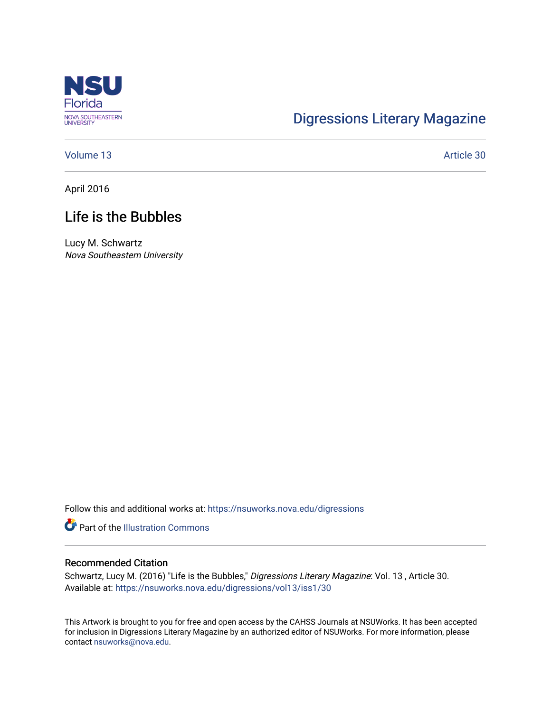

# [Digressions Literary Magazine](https://nsuworks.nova.edu/digressions)

[Volume 13](https://nsuworks.nova.edu/digressions/vol13) Article 30

April 2016

## Life is the Bubbles

Lucy M. Schwartz Nova Southeastern University

Follow this and additional works at: [https://nsuworks.nova.edu/digressions](https://nsuworks.nova.edu/digressions?utm_source=nsuworks.nova.edu%2Fdigressions%2Fvol13%2Fiss1%2F30&utm_medium=PDF&utm_campaign=PDFCoverPages) 

**P** Part of the Illustration Commons

#### Recommended Citation

Schwartz, Lucy M. (2016) "Life is the Bubbles," Digressions Literary Magazine: Vol. 13 , Article 30. Available at: [https://nsuworks.nova.edu/digressions/vol13/iss1/30](https://nsuworks.nova.edu/digressions/vol13/iss1/30?utm_source=nsuworks.nova.edu%2Fdigressions%2Fvol13%2Fiss1%2F30&utm_medium=PDF&utm_campaign=PDFCoverPages)

This Artwork is brought to you for free and open access by the CAHSS Journals at NSUWorks. It has been accepted for inclusion in Digressions Literary Magazine by an authorized editor of NSUWorks. For more information, please contact [nsuworks@nova.edu.](mailto:nsuworks@nova.edu)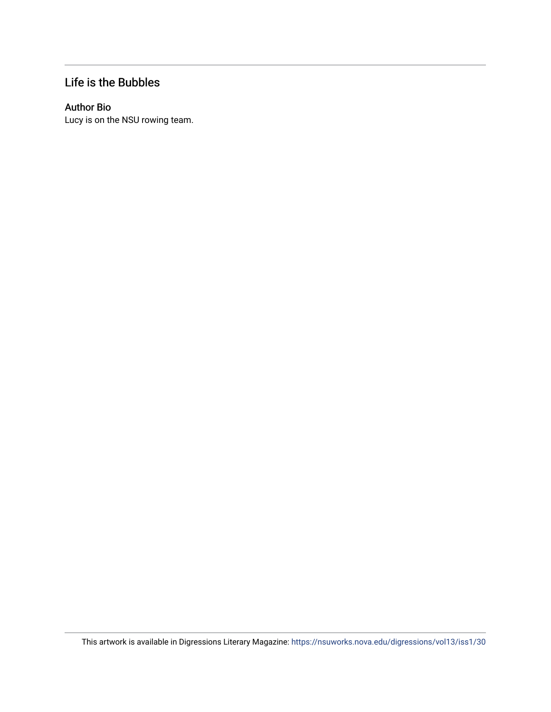### Life is the Bubbles

### Author Bio

Lucy is on the NSU rowing team.